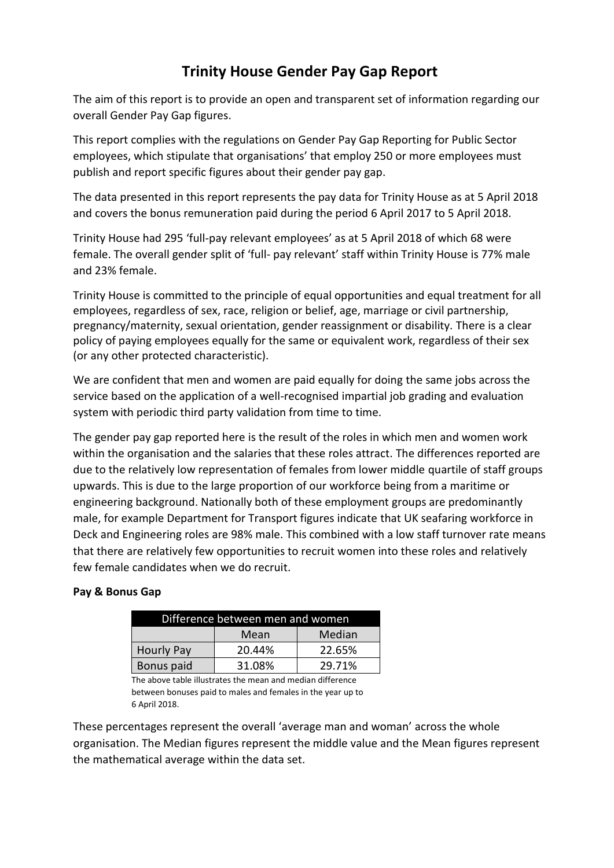# **Trinity House Gender Pay Gap Report**

The aim of this report is to provide an open and transparent set of information regarding our overall Gender Pay Gap figures.

This report complies with the regulations on Gender Pay Gap Reporting for Public Sector employees, which stipulate that organisations' that employ 250 or more employees must publish and report specific figures about their gender pay gap.

The data presented in this report represents the pay data for Trinity House as at 5 April 2018 and covers the bonus remuneration paid during the period 6 April 2017 to 5 April 2018.

Trinity House had 295 'full-pay relevant employees' as at 5 April 2018 of which 68 were female. The overall gender split of 'full- pay relevant' staff within Trinity House is 77% male and 23% female.

Trinity House is committed to the principle of equal opportunities and equal treatment for all employees, regardless of sex, race, religion or belief, age, marriage or civil partnership, pregnancy/maternity, sexual orientation, gender reassignment or disability. There is a clear policy of paying employees equally for the same or equivalent work, regardless of their sex (or any other protected characteristic).

We are confident that men and women are paid equally for doing the same jobs across the service based on the application of a well-recognised impartial job grading and evaluation system with periodic third party validation from time to time.

The gender pay gap reported here is the result of the roles in which men and women work within the organisation and the salaries that these roles attract. The differences reported are due to the relatively low representation of females from lower middle quartile of staff groups upwards. This is due to the large proportion of our workforce being from a maritime or engineering background. Nationally both of these employment groups are predominantly male, for example Department for Transport figures indicate that UK seafaring workforce in Deck and Engineering roles are 98% male. This combined with a low staff turnover rate means that there are relatively few opportunities to recruit women into these roles and relatively few female candidates when we do recruit.

### **Pay & Bonus Gap**

| Difference between men and women |        |        |  |  |
|----------------------------------|--------|--------|--|--|
|                                  | Mean   | Median |  |  |
| <b>Hourly Pay</b>                | 20.44% | 22.65% |  |  |
| Bonus paid                       | 31.08% | 29.71% |  |  |

The above table illustrates the mean and median difference between bonuses paid to males and females in the year up to 6 April 2018.

These percentages represent the overall 'average man and woman' across the whole organisation. The Median figures represent the middle value and the Mean figures represent the mathematical average within the data set.